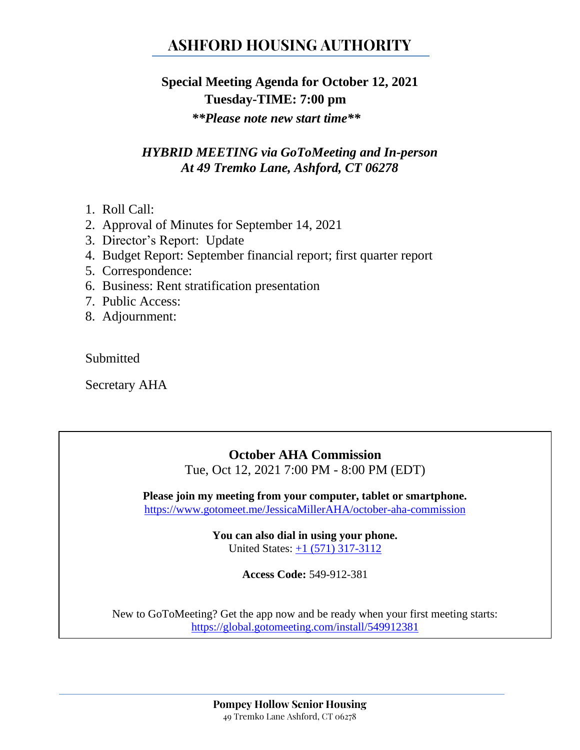# **ASHFORD HOUSING AUTHORITY**

## **Special Meeting Agenda for October 12, 2021 Tuesday-TIME: 7:00 pm**

*\*\*Please note new start time\*\**

### *HYBRID MEETING via GoToMeeting and In-person At 49 Tremko Lane, Ashford, CT 06278*

- 1. Roll Call:
- 2. Approval of Minutes for September 14, 2021
- 3. Director's Report: Update
- 4. Budget Report: September financial report; first quarter report
- 5. Correspondence:
- 6. Business: Rent stratification presentation
- 7. Public Access:
- 8. Adjournment:

Submitted

Secretary AHA

### **October AHA Commission**

Tue, Oct 12, 2021 7:00 PM - 8:00 PM (EDT)

**Please join my meeting from your computer, tablet or smartphone.**  <https://www.gotomeet.me/JessicaMillerAHA/october-aha-commission>

> **You can also dial in using your phone.** United States: [+1 \(571\) 317-3112](tel:+15713173112,,549912381)

> > **Access Code:** 549-912-381

New to GoToMeeting? Get the app now and be ready when your first meeting starts: <https://global.gotomeeting.com/install/549912381>